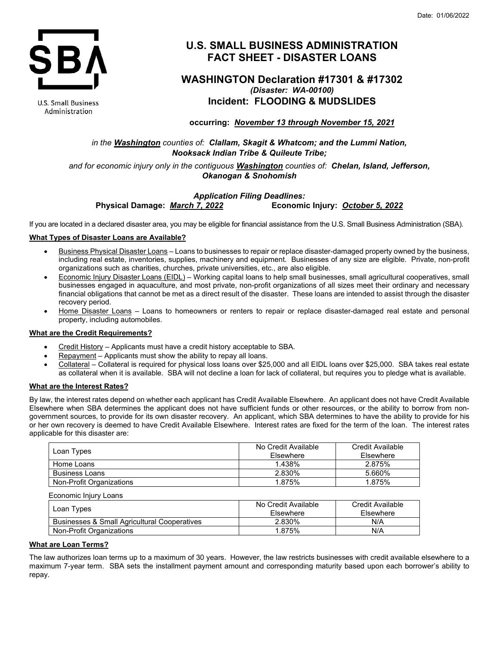

**U.S. Small Business** Administration

# **U.S. SMALL BUSINESS ADMINISTRATION FACT SHEET - DISASTER LOANS**

# **WASHINGTON Declaration #17301 & #17302** *(Disaster: WA-00100)* **Incident: FLOODING & MUDSLIDES**

**occurring:** *November 13 through November 15, 2021*

*in the Washington counties of: Clallam, Skagit & Whatcom; and the Lummi Nation, Nooksack Indian Tribe & Quileute Tribe;*

*and for economic injury only in the contiguous Washington counties of: Chelan, Island, Jefferson, Okanogan & Snohomish*

## *Application Filing Deadlines:*<br>Physical Damage: *March 7, 2022* **Economi Physical Damage:** *March 7, 2022* **Economic Injury:** *October 5, 2022*

If you are located in a declared disaster area, you may be eligible for financial assistance from the U.S. Small Business Administration (SBA).

#### **What Types of Disaster Loans are Available?**

- Business Physical Disaster Loans Loans to businesses to repair or replace disaster-damaged property owned by the business, including real estate, inventories, supplies, machinery and equipment. Businesses of any size are eligible. Private, non-profit organizations such as charities, churches, private universities, etc., are also eligible.
- Economic Injury Disaster Loans (EIDL) Working capital loans to help small businesses, small agricultural cooperatives, small businesses engaged in aquaculture, and most private, non-profit organizations of all sizes meet their ordinary and necessary financial obligations that cannot be met as a direct result of the disaster. These loans are intended to assist through the disaster recovery period.
- Home Disaster Loans Loans to homeowners or renters to repair or replace disaster-damaged real estate and personal property, including automobiles.

### **What are the Credit Requirements?**

- Credit History Applicants must have a credit history acceptable to SBA.
- Repayment Applicants must show the ability to repay all loans.
- Collateral Collateral is required for physical loss loans over \$25,000 and all EIDL loans over \$25,000. SBA takes real estate as collateral when it is available. SBA will not decline a loan for lack of collateral, but requires you to pledge what is available.

#### **What are the Interest Rates?**

By law, the interest rates depend on whether each applicant has Credit Available Elsewhere. An applicant does not have Credit Available Elsewhere when SBA determines the applicant does not have sufficient funds or other resources, or the ability to borrow from nongovernment sources, to provide for its own disaster recovery. An applicant, which SBA determines to have the ability to provide for his or her own recovery is deemed to have Credit Available Elsewhere. Interest rates are fixed for the term of the loan. The interest rates applicable for this disaster are:

| Loan Types               | No Credit Available<br>Elsewhere | Credit Available<br>Elsewhere |
|--------------------------|----------------------------------|-------------------------------|
| Home Loans               | 1.438%                           | 2.875%                        |
| <b>Business Loans</b>    | 2.830%                           | 5.660%                        |
| Non-Profit Organizations | 1.875%                           | 1.875%                        |

| Economic Injury Loans                                   |                     |                  |
|---------------------------------------------------------|---------------------|------------------|
| Loan Types                                              | No Credit Available | Credit Available |
|                                                         | Elsewhere           | Elsewhere        |
| <b>Businesses &amp; Small Agricultural Cooperatives</b> | 2.830%              | N/A              |
| Non-Profit Organizations                                | 1.875%              | N/A              |

#### **What are Loan Terms?**

The law authorizes loan terms up to a maximum of 30 years. However, the law restricts businesses with credit available elsewhere to a maximum 7-year term. SBA sets the installment payment amount and corresponding maturity based upon each borrower's ability to repay.